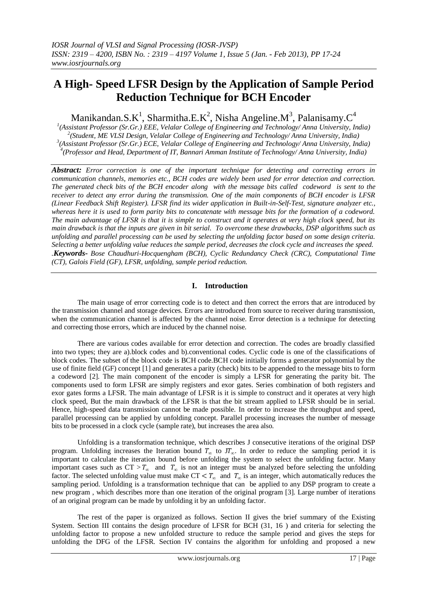# **A High- Speed LFSR Design by the Application of Sample Period Reduction Technique for BCH Encoder**

Manikandan.S.K<sup>1</sup>, Sharmitha.E.K<sup>2</sup>, Nisha Angeline.M<sup>3</sup>, Palanisamy.C<sup>4</sup>

 *(Assistant Professor (Sr.Gr.) EEE, Velalar College of Engineering and Technology/ Anna University, India) (Student, ME VLSI Design, Velalar College of Engineering and Technology/ Anna University, India) (Assistant Professor (Sr.Gr.) ECE, Velalar College of Engineering and Technology/ Anna University, India) (Professor and Head, Department of IT, Bannari Amman Institute of Technology/ Anna University, India)*

*Abstract: Error correction is one of the important technique for detecting and correcting errors in communication channels, memories etc., BCH codes are widely been used for error detection and correction. The generated check bits of the BCH encoder along with the message bits called codeword is sent to the receiver to detect any error during the transmission. One of the main components of BCH encoder is LFSR (Linear Feedback Shift Register). LFSR find its wider application in Built-in-Self-Test, signature analyzer etc., whereas here it is used to form parity bits to concatenate with message bits for the formation of a codeword. The main advantage of LFSR is that it is simple to construct and it operates at very high clock speed, but its main drawback is that the inputs are given in bit serial. To overcome these drawbacks, DSP algorithms such as unfolding and parallel processing can be used by selecting the unfolding factor based on some design criteria. Selecting a better unfolding value reduces the sample period, decreases the clock cycle and increases the speed. .Keywords***-** *Bose Chaudhuri-Hocquengham (BCH), Cyclic Redundancy Check (CRC), Computational Time (CT), Galois Field (GF), LFSR, unfolding, sample period reduction.*

# **I. Introduction**

The main usage of error correcting code is to detect and then correct the errors that are introduced by the transmission channel and storage devices. Errors are introduced from source to receiver during transmission, when the communication channel is affected by the channel noise. Error detection is a technique for detecting and correcting those errors, which are induced by the channel noise.

There are various codes available for error detection and correction. The codes are broadly classified into two types; they are a).block codes and b).conventional codes. Cyclic code is one of the classifications of block codes. The subset of the block code is BCH code.BCH code initially forms a generator polynomial by the use of finite field (GF) concept [1] and generates a parity (check) bits to be appended to the message bits to form a codeword [2]. The main component of the encoder is simply a LFSR for generating the parity bit. The components used to form LFSR are simply registers and exor gates. Series combination of both registers and exor gates forms a LFSR. The main advantage of LFSR is it is simple to construct and it operates at very high clock speed, But the main drawback of the LFSR is that the bit stream applied to LFSR should be in serial. Hence, high-speed data transmission cannot be made possible. In order to increase the throughput and speed, parallel processing can be applied by unfolding concept. Parallel processing increases the number of message bits to be processed in a clock cycle (sample rate), but increases the area also.

Unfolding is a transformation technique, which describes J consecutive iterations of the original DSP program. Unfolding increases the Iteration bound  $T_{\infty}$  to J $T_{\infty}$ . In order to reduce the sampling period it is important to calculate the iteration bound before unfolding the system to select the unfolding factor. Many important cases such as  $CT > T_{\infty}$  and  $T_{\infty}$  is not an integer must be analyzed before selecting the unfolding factor. The selected unfolding value must make  $CT < T_{\infty}$  and  $T_{\infty}$  is an integer, which automatically reduces the sampling period. Unfolding is a transformation technique that can be applied to any DSP program to create a new program , which describes more than one iteration of the original program [3]. Large number of iterations of an original program can be made by unfolding it by an unfolding factor.

The rest of the paper is organized as follows. Section II gives the brief summary of the Existing System. Section III contains the design procedure of LFSR for BCH (31, 16 ) and criteria for selecting the unfolding factor to propose a new unfolded structure to reduce the sample period and gives the steps for unfolding the DFG of the LFSR. Section IV contains the algorithm for unfolding and proposed a new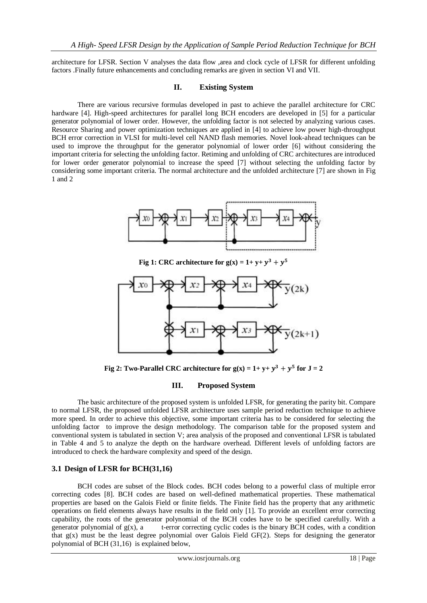architecture for LFSR. Section V analyses the data flow ,area and clock cycle of LFSR for different unfolding factors .Finally future enhancements and concluding remarks are given in section VI and VII.

## **II. Existing System**

There are various recursive formulas developed in past to achieve the parallel architecture for CRC hardware [4]. High-speed architectures for parallel long BCH encoders are developed in [5] for a particular generator polynomial of lower order. However, the unfolding factor is not selected by analyzing various cases. Resource Sharing and power optimization techniques are applied in [4] to achieve low power high-throughput BCH error correction in VLSI for multi-level cell NAND flash memories. Novel look-ahead techniques can be used to improve the throughput for the generator polynomial of lower order [6] without considering the important criteria for selecting the unfolding factor. Retiming and unfolding of CRC architectures are introduced for lower order generator polynomial to increase the speed [7] without selecting the unfolding factor by considering some important criteria. The normal architecture and the unfolded architecture [7] are shown in Fig 1 and 2



**Fig 1:** CRC architecture for  $g(x) = 1 + y + y^3 + y^5$ 



Fig 2: Two-Parallel CRC architecture for  $g(x) = 1 + y + y^3 + y^5$  for  $J = 2$ 

## **III. Proposed System**

The basic architecture of the proposed system is unfolded LFSR, for generating the parity bit. Compare to normal LFSR, the proposed unfolded LFSR architecture uses sample period reduction technique to achieve more speed. In order to achieve this objective, some important criteria has to be considered for selecting the unfolding factor to improve the design methodology. The comparison table for the proposed system and conventional system is tabulated in section V; area analysis of the proposed and conventional LFSR is tabulated in Table 4 and 5 to analyze the depth on the hardware overhead. Different levels of unfolding factors are introduced to check the hardware complexity and speed of the design.

## **3.1 Design of LFSR for BCH(31,16)**

BCH codes are subset of the Block codes. BCH codes belong to a powerful class of multiple error correcting codes [8]. BCH codes are based on well-defined mathematical properties. These mathematical properties are based on the Galois Field or finite fields. The Finite field has the property that any arithmetic operations on field elements always have results in the field only [1]. To provide an excellent error correcting capability, the roots of the generator polynomial of the BCH codes have to be specified carefully. With a generator polynomial of  $g(x)$ , a t-error correcting cyclic codes is the binary BCH codes, with a condition that g(x) must be the least degree polynomial over Galois Field GF(2). Steps for designing the generator polynomial of BCH (31,16) is explained below,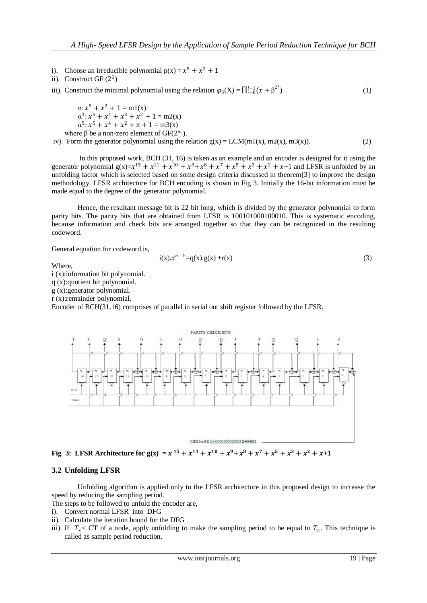- i). Choose an irreducible polynomial  $p(x) = x^5 + x^2 + 1$
- ii). Construct GF $(2^5)$
- iii). Construct the minimal polynomial using the relation  $\varphi_{\beta}(X) = \prod_{i=0}^{l-1} (x + \beta^{2^{i}})$ )  $(1)$

 $\alpha$ :  $x^5 + x^2 + 1 = m1(x)$  $\alpha^3$ :  $x^5 + x^4 + x^3 + x^2 + 1 = m2(x)$  $\alpha^5$ :  $x^5 + x^4 + x^2 + x + 1 = m3(x)$ where  $\beta$  be a non-zero element of GF(2<sup>m</sup>).

iv). Form the generator polynomial using the relation  $g(x) = LCM(m1(x), m2(x), m3(x))$ . (2)

In this proposed work, BCH (31, 16) is taken as an example and an encoder is designed for it using the generator polynomial  $g(x)=x^{15} + x^{11} + x^{10} + x^9 + x^8 + x^7 + x^5 + x^3 + x^2 + x + 1$  and LFSR is unfolded by an unfolding factor which is selected based on some design criteria discussed in theorem[3] to improve the design methodology. LFSR architecture for BCH encoding is shown in Fig 3. Initially the 16-bit information must be made equal to the degree of the generator polynomial.

Hence, the resultant message bit is 22 bit long, which is divided by the generator polynomial to form parity bits. The parity bits that are obtained from LFSR is 100101000100010. This is systematic encoding, because information and check bits are arranged together so that they can be recognized in the resulting codeword.

General equation for codeword is,

$$
i(x) . x^{n-k} = q(x) . g(x) + r(x)
$$
 (3)

Where,

i (x):information bit polynomial.

q (x):quotient bit polynomial.

g (x):generator polynomial.

r (x):remainder polynomial.

Encoder of BCH(31,16) comprises of parallel in serial out shift register followed by the LFSR.



**Fig** 3: LFSR Architecture for  $g(x) = x^{15} + x^{11} + x^{10} + x^9 + x^8 + x^7 + x^5 + x^3 + x^2 + x + 1$ 

#### **3.2 Unfolding LFSR**

Unfolding algorithm is applied only to the LFSR architecture in this proposed design to increase the speed by reducing the sampling period.

The steps to be followed to unfold the encoder are,

- i). Convert normal LFSR into DFG
- ii). Calculate the iteration bound for the DFG
- iii). If  $T_{\alpha}$ < CT of a node, apply unfolding to make the sampling period to be equal to  $T_{\alpha}$ . This technique is called as sample period reduction.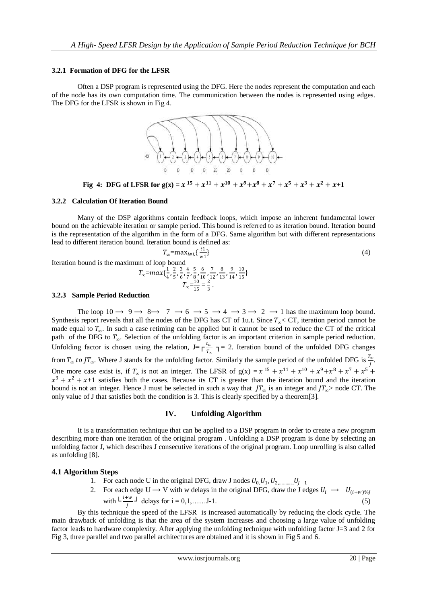#### **3.2.1 Formation of DFG for the LFSR**

Often a DSP program is represented using the DFG. Here the nodes represent the computation and each of the node has its own computation time. The communication between the nodes is represented using edges. The DFG for the LFSR is shown in Fig 4.



**Fig 4:** DFG of LFSR for  $g(x) = x^{15} + x^{11} + x^{10} + x^9 + x^8 + x^7 + x^5 + x^3 + x^2 + x + 1$ 

#### **3.2.2 Calculation Of Iteration Bound**

Many of the DSP algorithms contain feedback loops, which impose an inherent fundamental lower bound on the achievable iteration or sample period. This bound is referred to as iteration bound. Iteration bound is the representation of the algorithm in the form of a DFG. Same algorithm but with different representations lead to different iteration bound. Iteration bound is defined as:

$$
T_{\infty} = \max_{l \in L} \left\{ \frac{t}{w1} \right\}
$$
\n(4)  
\nIteration bound is the maximum of loop bound  
\n
$$
T_{\infty} = \max \left\{ \frac{1}{4}, \frac{2}{5}, \frac{3}{6}, \frac{4}{7}, \frac{5}{8}, \frac{6}{10}, \frac{7}{12}, \frac{8}{13}, \frac{9}{14}, \frac{10}{15} \right\}
$$
\n
$$
T_{\infty} = \frac{10}{15} = \frac{2}{3}.
$$

#### **3.2.3 Sample Period Reduction**

 $T_{\infty}$ =

The loop  $10 \rightarrow 9 \rightarrow 8 \rightarrow 7 \rightarrow 6 \rightarrow 5 \rightarrow 4 \rightarrow 3 \rightarrow 2 \rightarrow 1$  has the maximum loop bound. Synthesis report reveals that all the nodes of the DFG has CT of 1u.t. Since  $T_{\infty}$ < CT, iteration period cannot be made equal to *T*<sub>∞</sub>. In such a case retiming can be applied but it cannot be used to reduce the CT of the critical path of the DFG to  $T_{\infty}$ . Selection of the unfolding factor is an important criterion in sample period reduction. Unfolding factor is chosen using the relation,  $J=\int_{-\pi}^{\pi} \frac{t_u}{T}$   $\tau$  = 2. Iteration bound of the unfolded DFG changes from  $T_{\infty}$  to  $JT_{\infty}$ . Where J stands for the unfolding factor. Similarly the sample period of the unfolded DFG is  $\frac{T_{\infty}}{I}$ . J One more case exist is, if  $T_{\infty}$  is not an integer. The LFSR of  $g(x) = x^{15} + x^{11} + x^{10} + x^9 + x^8 + x^7 + x^5$  $x^3 + x^2 + x + 1$  satisfies both the cases. Because its CT is greater than the iteration bound and the iteration bound is not an integer. Hence J must be selected in such a way that  $JT_{\infty}$  is an integer and  $JT_{\infty}$ > node CT. The only value of J that satisfies both the condition is 3. This is clearly specified by a theorem[3].

#### **IV. Unfolding Algorithm**

It is a transformation technique that can be applied to a DSP program in order to create a new program describing more than one iteration of the original program . Unfolding a DSP program is done by selecting an unfolding factor J, which describes J consecutive iterations of the original program. Loop unrolling is also called as unfolding [8].

#### **4.1 Algorithm Steps**

- 1. For each node U in the original DFG, draw J nodes  $U_0, U_1, U_2, \ldots, U_{J-1}$
- 2. For each edge U  $\rightarrow$  V with w delays in the original DFG, draw the J edges  $U_i \rightarrow U_{(i+w)\%j}$ with  $L \frac{i+w}{l}$ ┘ delays for i = 0,1,……J-1. (5)

By this technique the speed of the LFSR is increased automatically by reducing the clock cycle. The main drawback of unfolding is that the area of the system increases and choosing a large value of unfolding factor leads to hardware complexity. After applying the unfolding technique with unfolding factor J=3 and 2 for Fig 3, three parallel and two parallel architectures are obtained and it is shown in Fig 5 and 6.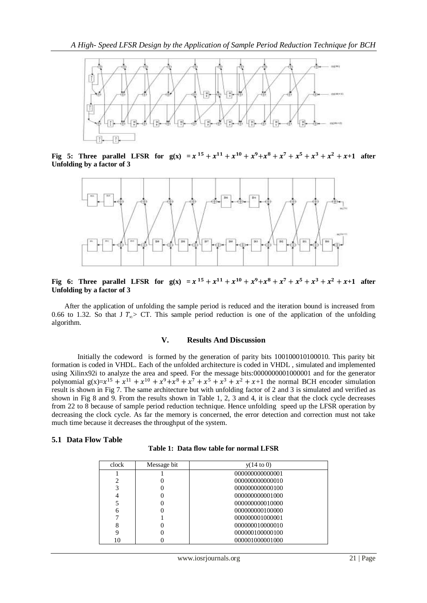

**Fig 5:** Three parallel LFSR for  $g(x) = x^{15} + x^{11} + x^{10} + x^9 + x^8 + x^7 + x^5 + x^3 + x^2 + x + 1$  after **Unfolding by a factor of 3**



Fig 6: Three parallel LFSR for  $g(x) = x^{15} + x^{11} + x^{10} + x^9 + x^8 + x^7 + x^5 + x^3 + x^2 + x + 1$  after **Unfolding by a factor of 3**

After the application of unfolding the sample period is reduced and the iteration bound is increased from 0.66 to 1.32. So that J  $T_{\infty}$ > CT. This sample period reduction is one of the application of the unfolding algorithm.

#### **V. Results And Discussion**

Initially the codeword is formed by the generation of parity bits 100100010100010. This parity bit formation is coded in VHDL. Each of the unfolded architecture is coded in VHDL , simulated and implemented using Xilinx92i to analyze the area and speed. For the message bits:0000000001000001 and for the generator polynomial  $g(x)=x^{15} + x^{11} + x^{10} + x^9 + x^8 + x^7 + x^5 + x^3 + x^2 + x + 1$  the normal BCH encoder simulation result is shown in Fig 7. The same architecture but with unfolding factor of 2 and 3 is simulated and verified as shown in Fig 8 and 9. From the results shown in Table 1, 2, 3 and 4, it is clear that the clock cycle decreases from 22 to 8 because of sample period reduction technique. Hence unfolding speed up the LFSR operation by decreasing the clock cycle. As far the memory is concerned, the error detection and correction must not take much time because it decreases the throughput of the system.

#### **5.1 Data Flow Table**

| Table 1: Data flow table for normal LFSR |  |  |  |  |  |
|------------------------------------------|--|--|--|--|--|
|------------------------------------------|--|--|--|--|--|

| clock | Message bit | $y(14 \text{ to } 0)$ |
|-------|-------------|-----------------------|
|       |             | 000000000000001       |
| 2     |             | 000000000000010       |
| 3     |             | 000000000000100       |
| 4     |             | 000000000001000       |
| 5     |             | 000000000010000       |
| 6     |             | 000000000100000       |
|       |             | 000000001000001       |
| 8     |             | 000000010000010       |
| 9     |             | 000000100000100       |
| 10    |             | 000001000001000       |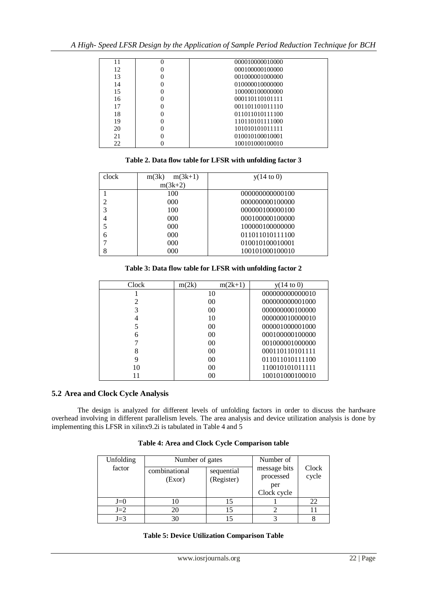| 11 | $\Omega$ | 000010000010000 |
|----|----------|-----------------|
| 12 | 0        | 000100000100000 |
| 13 | 0        | 001000001000000 |
| 14 | 0        | 010000010000000 |
| 15 | 0        | 100000100000000 |
| 16 | 0        | 000110110101111 |
| 17 | 0        | 001101101011110 |
| 18 | 0        | 011011010111100 |
| 19 | 0        | 110110101111000 |
| 20 | 0        | 101010101011111 |
| 21 | 0        | 010010100010001 |
| 22 |          | 100101000100010 |

# **Table 2. Data flow table for LFSR with unfolding factor 3**

| clock | $m(3k+1)$<br>m(3k) | $y(14 \text{ to } 0)$ |
|-------|--------------------|-----------------------|
|       | $m(3k+2)$          |                       |
|       | 100                | 000000000000100       |
|       | 000                | 000000000100000       |
|       | 100                | 000000100000100       |
|       | 000                | 000100000100000       |
|       | 000                | 100000100000000       |
| 6     | 000                | 011011010111100       |
|       | 000                | 010010100010001       |
| 8     | 000                | 100101000100010       |

## **Table 3: Data flow table for LFSR with unfolding factor 2**

| Clock | m(2k)<br>$m(2k+1)$ | $y(14 \text{ to } 0)$ |
|-------|--------------------|-----------------------|
|       | 10                 | 000000000000010       |
|       | 0 <sup>0</sup>     | 000000000001000       |
| 3     | 0 <sup>0</sup>     | 000000000100000       |
| 4     | 10                 | 000000010000010       |
|       | 0 <sup>0</sup>     | 000001000001000       |
| 6     | 0 <sup>0</sup>     | 000100000100000       |
|       | 0 <sup>0</sup>     | 001000001000000       |
| 8     | 0 <sup>0</sup>     | 000110110101111       |
| 9     | 0 <sup>0</sup>     | 011011010111100       |
| 10    | 0 <sup>0</sup>     | 110010101011111       |
|       | 0 <sup>0</sup>     | 100101000100010       |

## **5.2 Area and Clock Cycle Analysis**

The design is analyzed for different levels of unfolding factors in order to discuss the hardware overhead involving in different parallelism levels. The area analysis and device utilization analysis is done by implementing this LFSR in xilinx9.2i is tabulated in Table 4 and 5

# **Table 4: Area and Clock Cycle Comparison table**

| Unfolding | Number of gates         | Number of                |                                                 |                |  |
|-----------|-------------------------|--------------------------|-------------------------------------------------|----------------|--|
| factor    | combinational<br>(Exor) | sequential<br>(Register) | message bits<br>processed<br>per<br>Clock cycle | Clock<br>cycle |  |
| $J=0$     |                         |                          |                                                 | 22             |  |
| $J=2$     |                         |                          |                                                 |                |  |
| $J=3$     |                         |                          |                                                 |                |  |

#### **Table 5: Device Utilization Comparison Table**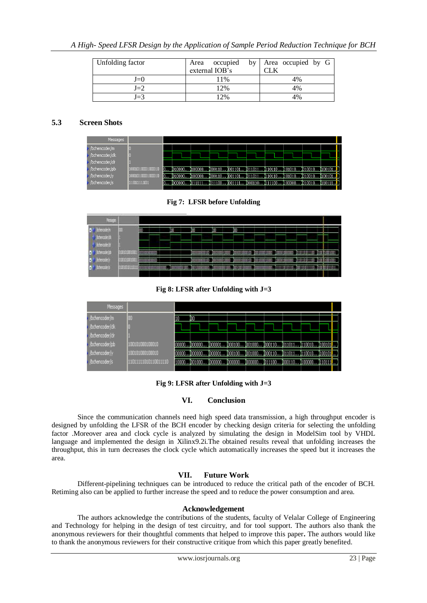| Unfolding factor | occupied<br>Area | by Area occupied by G |
|------------------|------------------|-----------------------|
|                  | external IOB's   |                       |
| $I=0$            | 11%              | 4%                    |
| $J=2$            | 12%              | 4%                    |
| J=3              | 12%              | 40 <sub>6</sub>       |

# **5.3 Screen Shots**

| Messages        |                 |   |         |           |         |         |               |         |                                                  |         |         |
|-----------------|-----------------|---|---------|-----------|---------|---------|---------------|---------|--------------------------------------------------|---------|---------|
| /bchencoder/in  |                 |   |         |           |         |         |               |         |                                                  |         |         |
| (bchencoder/ck  |                 |   |         |           |         |         |               |         |                                                  |         |         |
| (bchencoder/cir |                 |   |         |           |         |         |               |         |                                                  |         |         |
| (bchencoder/pb  | 100101000100010 | 0 | 1010000 | . 1100000 | 1000110 |         |               |         | 1001101 1011011 1110110 1101010 1010010 1100101. |         |         |
| (bchencoder)y   | 100101000100010 |   |         |           |         |         | 011011.       | 1110110 | 101010.                                          |         | 1100101 |
| (bchencoder/s   | 1101111101      |   | 1000000 | 111111    | 011100  | 1001111 | 1000110111100 |         | 1100000                                          | 1010010 | 110111. |

**Fig 7: LFSR before Unfolding**



**Fig 8: LFSR after Unfolding with J=3**



**Fig 9: LFSR after Unfolding with J=3**

# **VI. Conclusion**

Since the communication channels need high speed data transmission, a high throughput encoder is designed by unfolding the LFSR of the BCH encoder by checking design criteria for selecting the unfolding factor .Moreover area and clock cycle is analyzed by simulating the design in ModelSim tool by VHDL language and implemented the design in Xilinx9.2i.The obtained results reveal that unfolding increases the throughput, this in turn decreases the clock cycle which automatically increases the speed but it increases the area.

# **VII. Future Work**

Different-pipelining techniques can be introduced to reduce the critical path of the encoder of BCH. Retiming also can be applied to further increase the speed and to reduce the power consumption and area.

## **Acknowledgement**

 The authors acknowledge the contributions of the students, faculty of Velalar College of Engineering and Technology for helping in the design of test circuitry, and for tool support. The authors also thank the anonymous reviewers for their thoughtful comments that helped to improve this paper**.** The authors would like to thank the anonymous reviewers for their constructive critique from which this paper greatly benefited.